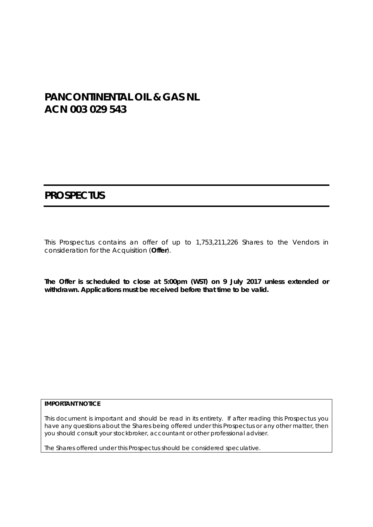# **PANCONTINENTAL OIL & GAS NL ACN 003 029 543**

# **PROSPECTUS**

This Prospectus contains an offer of up to 1,753,211,226 Shares to the Vendors in consideration for the Acquisition (**Offer**).

**The Offer is scheduled to close at 5:00pm (WST) on 9 July 2017 unless extended or withdrawn. Applications must be received before that time to be valid.** 

#### **IMPORTANT NOTICE**

This document is important and should be read in its entirety. If after reading this Prospectus you have any questions about the Shares being offered under this Prospectus or any other matter, then you should consult your stockbroker, accountant or other professional adviser.

The Shares offered under this Prospectus should be considered speculative.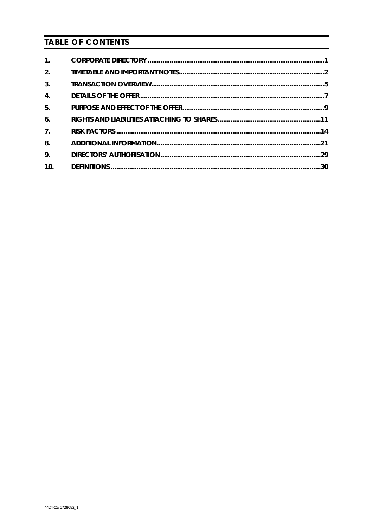# **TABLE OF CONTENTS**

| $\mathbf{1}$ .   |  |
|------------------|--|
| 2.               |  |
| 3.               |  |
| $\overline{4}$ . |  |
| 5.               |  |
| 6.               |  |
| 7 <sub>1</sub>   |  |
| 8.               |  |
| 9.               |  |
| 10.              |  |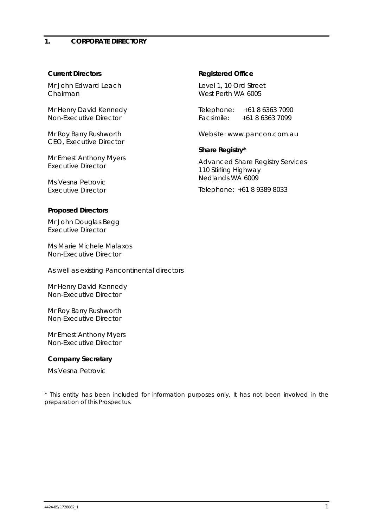#### **Current Directors**

Mr John Edward Leach *Chairman*

Mr Henry David Kennedy *Non-Executive Director* 

Mr Roy Barry Rushworth *CEO, Executive Director* 

Mr Ernest Anthony Myers *Executive Director* 

Ms Vesna Petrovic *Executive Director*

#### **Proposed Directors**

Mr John Douglas Begg *Executive Director* 

Ms Marie Michele Malaxos *Non-Executive Director* 

*As well as existing Pancontinental directors* 

Mr Henry David Kennedy *Non-Executive Director* 

Mr Roy Barry Rushworth *Non-Executive Director* 

Mr Ernest Anthony Myers *Non-Executive Director* 

#### **Company Secretary**

Ms Vesna Petrovic

\* This entity has been included for information purposes only. It has not been involved in the preparation of this Prospectus.

#### **Registered Office**

Level 1, 10 Ord Street West Perth WA 6005

Telephone: +61 8 6363 7090 Facsimile: +61 8 6363 7099

Website: www.pancon.com.au

#### **Share Registry\***

Advanced Share Registry Services 110 Stirling Highway Nedlands WA 6009

Telephone: +61 8 9389 8033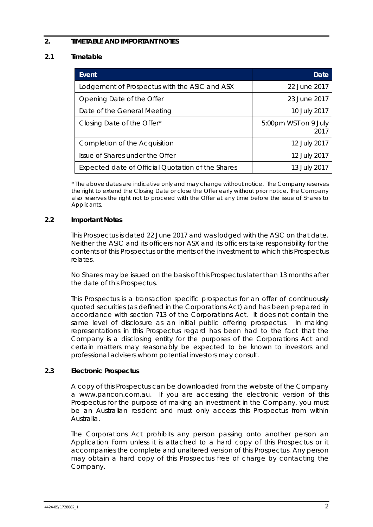# **2. TIMETABLE AND IMPORTANT NOTES**

# **2.1 Timetable**

| Event                                             | Date                         |
|---------------------------------------------------|------------------------------|
| Lodgement of Prospectus with the ASIC and ASX     | 22 June 2017                 |
| Opening Date of the Offer                         | 23 June 2017                 |
| Date of the General Meeting                       | 10 July 2017                 |
| Closing Date of the Offer*                        | 5:00pm WST on 9 July<br>2017 |
| Completion of the Acquisition                     | 12 July 2017                 |
| Issue of Shares under the Offer                   | 12 July 2017                 |
| Expected date of Official Quotation of the Shares | 13 July 2017                 |

*\* The above dates are indicative only and may change without notice. The Company reserves the right to extend the Closing Date or close the Offer early without prior notice. The Company also reserves the right not to proceed with the Offer at any time before the issue of Shares to Applicants.* 

#### **2.2 Important Notes**

This Prospectus is dated 22 June 2017 and was lodged with the ASIC on that date. Neither the ASIC and its officers nor ASX and its officers take responsibility for the contents of this Prospectus or the merits of the investment to which this Prospectus relates.

No Shares may be issued on the basis of this Prospectus later than 13 months after the date of this Prospectus.

This Prospectus is a transaction specific prospectus for an offer of continuously quoted securities (as defined in the Corporations Act) and has been prepared in accordance with section 713 of the Corporations Act. It does not contain the same level of disclosure as an initial public offering prospectus. In making representations in this Prospectus regard has been had to the fact that the Company is a disclosing entity for the purposes of the Corporations Act and certain matters may reasonably be expected to be known to investors and professional advisers whom potential investors may consult.

#### **2.3 Electronic Prospectus**

A copy of this Prospectus can be downloaded from the website of the Company a www.pancon.com.au. If you are accessing the electronic version of this Prospectus for the purpose of making an investment in the Company, you must be an Australian resident and must only access this Prospectus from within Australia.

The Corporations Act prohibits any person passing onto another person an Application Form unless it is attached to a hard copy of this Prospectus or it accompanies the complete and unaltered version of this Prospectus. Any person may obtain a hard copy of this Prospectus free of charge by contacting the Company.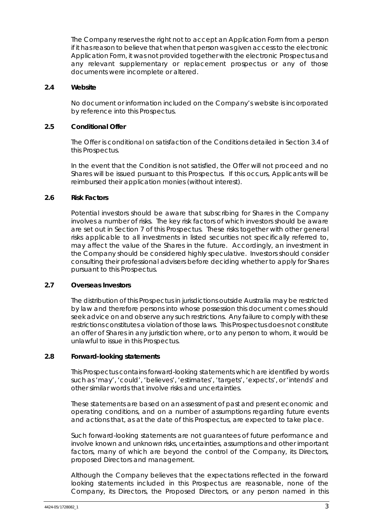The Company reserves the right not to accept an Application Form from a person if it has reason to believe that when that person was given access to the electronic Application Form, it was not provided together with the electronic Prospectus and any relevant supplementary or replacement prospectus or any of those documents were incomplete or altered.

#### **2.4 Website**

No document or information included on the Company's website is incorporated by reference into this Prospectus.

#### **2.5 Conditional Offer**

The Offer is conditional on satisfaction of the Conditions detailed in Section 3.4 of this Prospectus.

In the event that the Condition is not satisfied, the Offer will not proceed and no Shares will be issued pursuant to this Prospectus. If this occurs, Applicants will be reimbursed their application monies (without interest).

#### **2.6 Risk Factors**

Potential investors should be aware that subscribing for Shares in the Company involves a number of risks. The key risk factors of which investors should be aware are set out in Section 7 of this Prospectus. These risks together with other general risks applicable to all investments in listed securities not specifically referred to, may affect the value of the Shares in the future. Accordingly, an investment in the Company should be considered highly speculative. Investors should consider consulting their professional advisers before deciding whether to apply for Shares pursuant to this Prospectus.

#### **2.7 Overseas Investors**

The distribution of this Prospectus in jurisdictions outside Australia may be restricted by law and therefore persons into whose possession this document comes should seek advice on and observe any such restrictions. Any failure to comply with these restrictions constitutes a violation of those laws. This Prospectus does not constitute an offer of Shares in any jurisdiction where, or to any person to whom, it would be unlawful to issue in this Prospectus.

#### **2.8 Forward-looking statements**

This Prospectus contains forward-looking statements which are identified by words such as 'may', 'could', 'believes', 'estimates', 'targets', 'expects', or 'intends' and other similar words that involve risks and uncertainties.

These statements are based on an assessment of past and present economic and operating conditions, and on a number of assumptions regarding future events and actions that, as at the date of this Prospectus, are expected to take place.

Such forward-looking statements are not guarantees of future performance and involve known and unknown risks, uncertainties, assumptions and other important factors, many of which are beyond the control of the Company, its Directors, proposed Directors and management.

Although the Company believes that the expectations reflected in the forward looking statements included in this Prospectus are reasonable, none of the Company, its Directors, the Proposed Directors, or any person named in this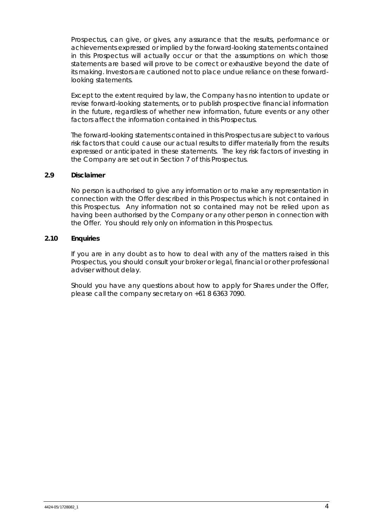Prospectus, can give, or gives, any assurance that the results, performance or achievements expressed or implied by the forward-looking statements contained in this Prospectus will actually occur or that the assumptions on which those statements are based will prove to be correct or exhaustive beyond the date of its making. Investors are cautioned not to place undue reliance on these forwardlooking statements.

Except to the extent required by law, the Company has no intention to update or revise forward-looking statements, or to publish prospective financial information in the future, regardless of whether new information, future events or any other factors affect the information contained in this Prospectus.

The forward-looking statements contained in this Prospectus are subject to various risk factors that could cause our actual results to differ materially from the results expressed or anticipated in these statements. The key risk factors of investing in the Company are set out in Section 7 of this Prospectus.

#### **2.9 Disclaimer**

No person is authorised to give any information or to make any representation in connection with the Offer described in this Prospectus which is not contained in this Prospectus. Any information not so contained may not be relied upon as having been authorised by the Company or any other person in connection with the Offer. You should rely only on information in this Prospectus.

#### **2.10 Enquiries**

If you are in any doubt as to how to deal with any of the matters raised in this Prospectus, you should consult your broker or legal, financial or other professional adviser without delay.

Should you have any questions about how to apply for Shares under the Offer, please call the company secretary on +61 8 6363 7090.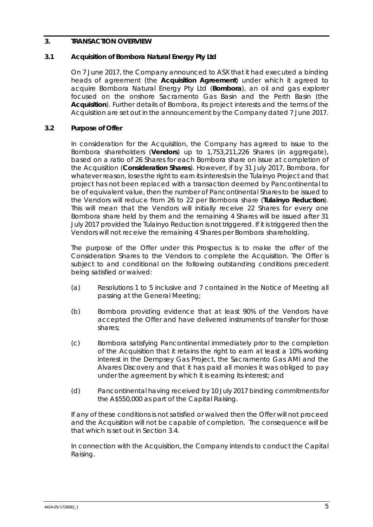## **3. TRANSACTION OVERVIEW**

## **3.1 Acquisition of Bombora Natural Energy Pty Ltd**

On 7 June 2017, the Company announced to ASX that it had executed a binding heads of agreement (the **Acquisition Agreement**) under which it agreed to acquire Bombora Natural Energy Pty Ltd (**Bombora**), an oil and gas explorer focused on the onshore Sacramento Gas Basin and the Perth Basin (the **Acquisition**). Further details of Bombora, its project interests and the terms of the Acquisition are set out in the announcement by the Company dated 7 June 2017.

## **3.2 Purpose of Offer**

In consideration for the Acquisition, the Company has agreed to issue to the Bombora shareholders (**Vendors**) up to 1,753,211,226 Shares (in aggregate), based on a ratio of 26 Shares for each Bombora share on issue at completion of the Acquisition (**Consideration Shares**). However, if by 31 July 2017, Bombora, for whatever reason, loses the right to earn its interests in the Tulainyo Project and that project has not been replaced with a transaction deemed by Pancontinental to be of equivalent value, then the number of Pancontinental Shares to be issued to the Vendors will reduce from 26 to 22 per Bombora share (**Tulainyo Reduction**). This will mean that the Vendors will initially receive 22 Shares for every one Bombora share held by them and the remaining 4 Shares will be issued after 31 July 2017 provided the Tulainyo Reduction is not triggered. If it is triggered then the Vendors will not receive the remaining 4 Shares per Bombora shareholding.

The purpose of the Offer under this Prospectus is to make the offer of the Consideration Shares to the Vendors to complete the Acquisition. The Offer is subject to and conditional on the following outstanding conditions precedent being satisfied or waived:

- (a) Resolutions 1 to 5 inclusive and 7 contained in the Notice of Meeting all passing at the General Meeting;
- (b) Bombora providing evidence that at least 90% of the Vendors have accepted the Offer and have delivered instruments of transfer for those shares;
- (c) Bombora satisfying Pancontinental immediately prior to the completion of the Acquisition that it retains the right to earn at least a 10% working interest in the Dempsey Gas Project, the Sacramento Gas AMI and the Alvares Discovery and that it has paid all monies it was obliged to pay under the agreement by which it is earning its interest; and
- (d) Pancontinental having received by 10 July 2017 binding commitments for the A\$550,000 as part of the Capital Raising.

If any of these conditions is not satisfied or waived then the Offer will not proceed and the Acquisition will not be capable of completion. The consequence will be that which is set out in Section 3.4.

In connection with the Acquisition, the Company intends to conduct the Capital Raising.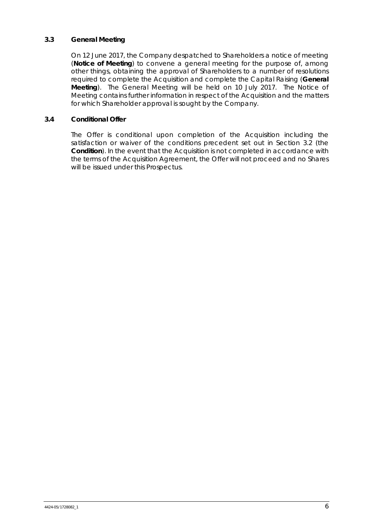## **3.3 General Meeting**

On 12 June 2017, the Company despatched to Shareholders a notice of meeting (**Notice of Meeting**) to convene a general meeting for the purpose of, among other things, obtaining the approval of Shareholders to a number of resolutions required to complete the Acquisition and complete the Capital Raising (**General Meeting**). The General Meeting will be held on 10 July 2017. The Notice of Meeting contains further information in respect of the Acquisition and the matters for which Shareholder approval is sought by the Company.

#### **3.4 Conditional Offer**

The Offer is conditional upon completion of the Acquisition including the satisfaction or waiver of the conditions precedent set out in Section 3.2 (the **Condition**). In the event that the Acquisition is not completed in accordance with the terms of the Acquisition Agreement, the Offer will not proceed and no Shares will be issued under this Prospectus.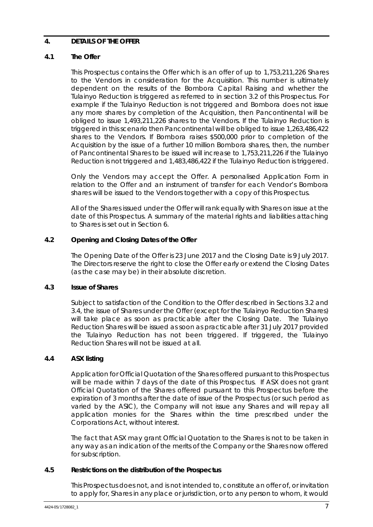## **4. DETAILS OF THE OFFER**

## **4.1 The Offer**

This Prospectus contains the Offer which is an offer of up to 1,753,211,226 Shares to the Vendors in consideration for the Acquisition. This number is ultimately dependent on the results of the Bombora Capital Raising and whether the Tulainyo Reduction is triggered as referred to in section 3.2 of this Prospectus. For example if the Tulainyo Reduction is not triggered and Bombora does not issue any more shares by completion of the Acquisition, then Pancontinental will be obliged to issue 1,493,211,226 shares to the Vendors. If the Tulainyo Reduction is triggered in this scenario then Pancontinental will be obliged to issue 1,263,486,422 shares to the Vendors. If Bombora raises \$500,000 prior to completion of the Acquisition by the issue of a further 10 million Bombora shares, then, the number of Pancontinental Shares to be issued will increase to 1,753,211,226 if the Tulainyo Reduction is not triggered and 1,483,486,422 if the Tulainyo Reduction is triggered.

Only the Vendors may accept the Offer. A personalised Application Form in relation to the Offer and an instrument of transfer for each Vendor's Bombora shares will be issued to the Vendors together with a copy of this Prospectus.

All of the Shares issued under the Offer will rank equally with Shares on issue at the date of this Prospectus. A summary of the material rights and liabilities attaching to Shares is set out in Section 6.

# **4.2 Opening and Closing Dates of the Offer**

The Opening Date of the Offer is 23 June 2017 and the Closing Date is 9 July 2017. The Directors reserve the right to close the Offer early or extend the Closing Dates (as the case may be) in their absolute discretion.

#### **4.3 Issue of Shares**

Subject to satisfaction of the Condition to the Offer described in Sections 3.2 and 3.4, the issue of Shares under the Offer (except for the Tulainyo Reduction Shares) will take place as soon as practicable after the Closing Date. The Tulainyo Reduction Shares will be issued as soon as practicable after 31 July 2017 provided the Tulainyo Reduction has not been triggered. If triggered, the Tulainyo Reduction Shares will not be issued at all.

#### **4.4 ASX listing**

Application for Official Quotation of the Shares offered pursuant to this Prospectus will be made within 7 days of the date of this Prospectus. If ASX does not grant Official Quotation of the Shares offered pursuant to this Prospectus before the expiration of 3 months after the date of issue of the Prospectus (or such period as varied by the ASIC), the Company will not issue any Shares and will repay all application monies for the Shares within the time prescribed under the Corporations Act, without interest.

The fact that ASX may grant Official Quotation to the Shares is not to be taken in any way as an indication of the merits of the Company or the Shares now offered for subscription.

#### **4.5 Restrictions on the distribution of the Prospectus**

This Prospectus does not, and is not intended to, constitute an offer of, or invitation to apply for, Shares in any place or jurisdiction, or to any person to whom, it would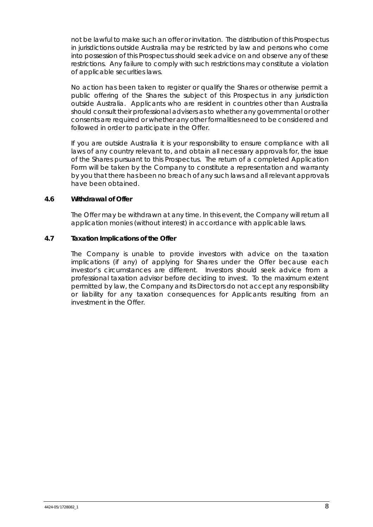not be lawful to make such an offer or invitation. The distribution of this Prospectus in jurisdictions outside Australia may be restricted by law and persons who come into possession of this Prospectus should seek advice on and observe any of these restrictions. Any failure to comply with such restrictions may constitute a violation of applicable securities laws.

No action has been taken to register or qualify the Shares or otherwise permit a public offering of the Shares the subject of this Prospectus in any jurisdiction outside Australia. Applicants who are resident in countries other than Australia should consult their professional advisers as to whether any governmental or other consents are required or whether any other formalities need to be considered and followed in order to participate in the Offer.

If you are outside Australia it is your responsibility to ensure compliance with all laws of any country relevant to, and obtain all necessary approvals for, the issue of the Shares pursuant to this Prospectus. The return of a completed Application Form will be taken by the Company to constitute a representation and warranty by you that there has been no breach of any such laws and all relevant approvals have been obtained.

#### **4.6 Withdrawal of Offer**

The Offer may be withdrawn at any time. In this event, the Company will return all application monies (without interest) in accordance with applicable laws.

# **4.7 Taxation Implications of the Offer**

The Company is unable to provide investors with advice on the taxation implications (if any) of applying for Shares under the Offer because each investor's circumstances are different. Investors should seek advice from a professional taxation advisor before deciding to invest. To the maximum extent permitted by law, the Company and its Directors do not accept any responsibility or liability for any taxation consequences for Applicants resulting from an investment in the Offer.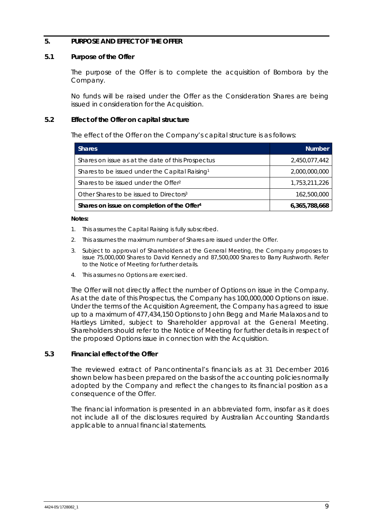#### **5. PURPOSE AND EFFECT OF THE OFFER**

#### **5.1 Purpose of the Offer**

The purpose of the Offer is to complete the acquisition of Bombora by the Company.

No funds will be raised under the Offer as the Consideration Shares are being issued in consideration for the Acquisition.

#### **5.2 Effect of the Offer on capital structure**

The effect of the Offer on the Company's capital structure is as follows:

| <b>Shares</b>                                              | <b>Number</b> |
|------------------------------------------------------------|---------------|
| Shares on issue as at the date of this Prospectus          | 2,450,077,442 |
| Shares to be issued under the Capital Raising <sup>1</sup> | 2,000,000,000 |
| Shares to be issued under the Offer <sup>2</sup>           | 1,753,211,226 |
| Other Shares to be issued to Directors <sup>3</sup>        | 162,500,000   |
| Shares on issue on completion of the Offer <sup>4</sup>    | 6,365,788,668 |

#### **Notes:**

- 1. This assumes the Capital Raising is fully subscribed.
- 2. This assumes the maximum number of Shares are issued under the Offer.
- 3. Subject to approval of Shareholders at the General Meeting, the Company proposes to issue 75,000,000 Shares to David Kennedy and 87,500,000 Shares to Barry Rushworth. Refer to the Notice of Meeting for further details.
- 4. This assumes no Options are exercised.

The Offer will not directly affect the number of Options on issue in the Company. As at the date of this Prospectus, the Company has 100,000,000 Options on issue. Under the terms of the Acquisition Agreement, the Company has agreed to issue up to a maximum of 477,434,150 Options to John Begg and Marie Malaxos and to Hartleys Limited, subject to Shareholder approval at the General Meeting. Shareholders should refer to the Notice of Meeting for further details in respect of the proposed Options issue in connection with the Acquisition.

#### **5.3 Financial effect of the Offer**

The reviewed extract of Pancontinental's financials as at 31 December 2016 shown below has been prepared on the basis of the accounting policies normally adopted by the Company and reflect the changes to its financial position as a consequence of the Offer.

The financial information is presented in an abbreviated form, insofar as it does not include all of the disclosures required by Australian Accounting Standards applicable to annual financial statements.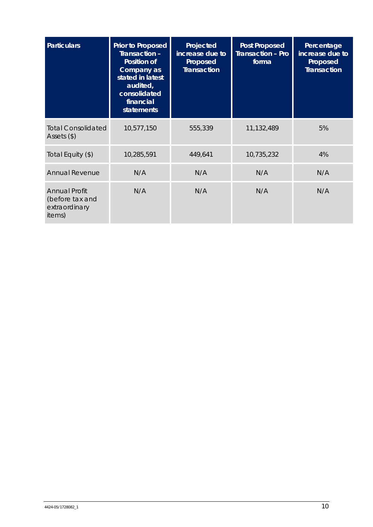| <b>Particulars</b>                                                 | <b>Prior to Proposed</b><br>Transaction -<br><b>Position of</b><br>Company as<br>stated in latest<br>audited,<br>consolidated<br>financial<br><b>statements</b> | Projected<br>increase due to<br>Proposed<br><b>Transaction</b> | <b>Post Proposed</b><br><b>Transaction - Pro</b><br>forma | Percentage<br>increase due to<br>Proposed<br><b>Transaction</b> |
|--------------------------------------------------------------------|-----------------------------------------------------------------------------------------------------------------------------------------------------------------|----------------------------------------------------------------|-----------------------------------------------------------|-----------------------------------------------------------------|
| <b>Total Consolidated</b><br>Assets $(\$)$                         | 10,577,150                                                                                                                                                      | 555,339                                                        | 11,132,489                                                | 5%                                                              |
| Total Equity (\$)                                                  | 10,285,591                                                                                                                                                      | 449,641                                                        | 10,735,232                                                | 4%                                                              |
| <b>Annual Revenue</b>                                              | N/A                                                                                                                                                             | N/A                                                            | N/A                                                       | N/A                                                             |
| <b>Annual Profit</b><br>(before tax and<br>extraordinary<br>items) | N/A                                                                                                                                                             | N/A                                                            | N/A                                                       | N/A                                                             |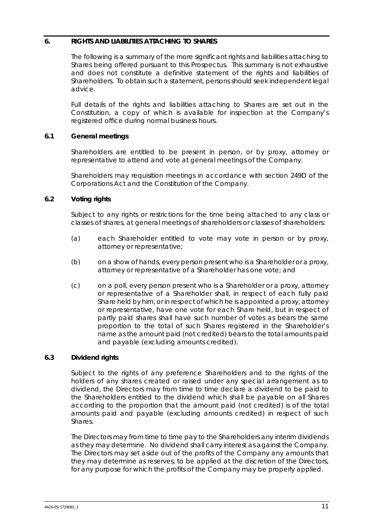## **6. RIGHTS AND LIABILITIES ATTACHING TO SHARES**

The following is a summary of the more significant rights and liabilities attaching to Shares being offered pursuant to this Prospectus. This summary is not exhaustive and does not constitute a definitive statement of the rights and liabilities of Shareholders. To obtain such a statement, persons should seek independent legal advice.

Full details of the rights and liabilities attaching to Shares are set out in the Constitution, a copy of which is available for inspection at the Company's registered office during normal business hours.

# **6.1 General meetings**

Shareholders are entitled to be present in person, or by proxy, attorney or representative to attend and vote at general meetings of the Company.

Shareholders may requisition meetings in accordance with section 249D of the Corporations Act and the Constitution of the Company.

# **6.2 Voting rights**

Subject to any rights or restrictions for the time being attached to any class or classes of shares, at general meetings of shareholders or classes of shareholders:

- (a) each Shareholder entitled to vote may vote in person or by proxy, attorney or representative;
- (b) on a show of hands, every person present who is a Shareholder or a proxy, attorney or representative of a Shareholder has one vote; and
- (c) on a poll, every person present who is a Shareholder or a proxy, attorney or representative of a Shareholder shall, in respect of each fully paid Share held by him, or in respect of which he is appointed a proxy, attorney or representative, have one vote for each Share held, but in respect of partly paid shares shall have such number of votes as bears the same proportion to the total of such Shares registered in the Shareholder's name as the amount paid (not credited) bears to the total amounts paid and payable (excluding amounts credited).

#### **6.3 Dividend rights**

Subject to the rights of any preference Shareholders and to the rights of the holders of any shares created or raised under any special arrangement as to dividend, the Directors may from time to time declare a dividend to be paid to the Shareholders entitled to the dividend which shall be payable on all Shares according to the proportion that the amount paid (not credited) is of the total amounts paid and payable (excluding amounts credited) in respect of such Shares.

The Directors may from time to time pay to the Shareholders any interim dividends as they may determine. No dividend shall carry interest as against the Company. The Directors may set aside out of the profits of the Company any amounts that they may determine as reserves, to be applied at the discretion of the Directors, for any purpose for which the profits of the Company may be properly applied.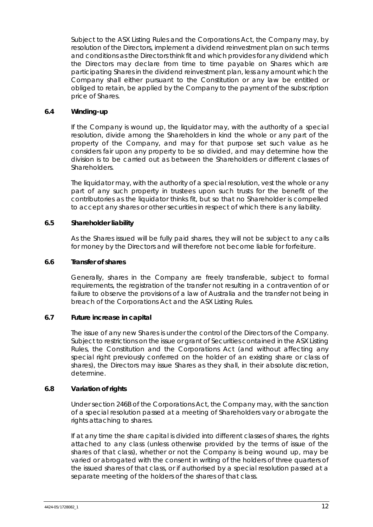Subject to the ASX Listing Rules and the Corporations Act, the Company may, by resolution of the Directors, implement a dividend reinvestment plan on such terms and conditions as the Directors think fit and which provides for any dividend which the Directors may declare from time to time payable on Shares which are participating Shares in the dividend reinvestment plan, less any amount which the Company shall either pursuant to the Constitution or any law be entitled or obliged to retain, be applied by the Company to the payment of the subscription price of Shares.

#### **6.4 Winding-up**

If the Company is wound up, the liquidator may, with the authority of a special resolution, divide among the Shareholders in kind the whole or any part of the property of the Company, and may for that purpose set such value as he considers fair upon any property to be so divided, and may determine how the division is to be carried out as between the Shareholders or different classes of Shareholders.

The liquidator may, with the authority of a special resolution, vest the whole or any part of any such property in trustees upon such trusts for the benefit of the contributories as the liquidator thinks fit, but so that no Shareholder is compelled to accept any shares or other securities in respect of which there is any liability.

#### **6.5 Shareholder liability**

As the Shares issued will be fully paid shares, they will not be subject to any calls for money by the Directors and will therefore not become liable for forfeiture.

#### **6.6 Transfer of shares**

Generally, shares in the Company are freely transferable, subject to formal requirements, the registration of the transfer not resulting in a contravention of or failure to observe the provisions of a law of Australia and the transfer not being in breach of the Corporations Act and the ASX Listing Rules.

#### **6.7 Future increase in capital**

The issue of any new Shares is under the control of the Directors of the Company. Subject to restrictions on the issue or grant of Securities contained in the ASX Listing Rules, the Constitution and the Corporations Act (and without affecting any special right previously conferred on the holder of an existing share or class of shares), the Directors may issue Shares as they shall, in their absolute discretion, determine.

#### **6.8 Variation of rights**

Under section 246B of the Corporations Act, the Company may, with the sanction of a special resolution passed at a meeting of Shareholders vary or abrogate the rights attaching to shares.

If at any time the share capital is divided into different classes of shares, the rights attached to any class (unless otherwise provided by the terms of issue of the shares of that class), whether or not the Company is being wound up, may be varied or abrogated with the consent in writing of the holders of three quarters of the issued shares of that class, or if authorised by a special resolution passed at a separate meeting of the holders of the shares of that class.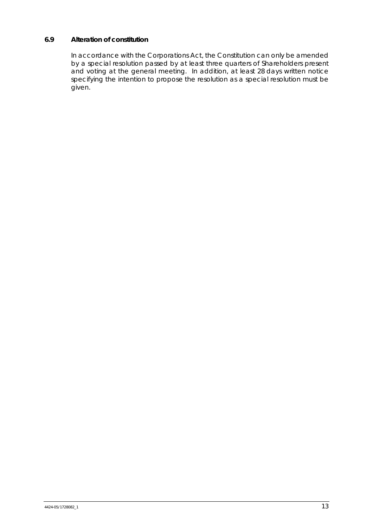# **6.9 Alteration of constitution**

In accordance with the Corporations Act, the Constitution can only be amended by a special resolution passed by at least three quarters of Shareholders present and voting at the general meeting. In addition, at least 28 days written notice specifying the intention to propose the resolution as a special resolution must be given.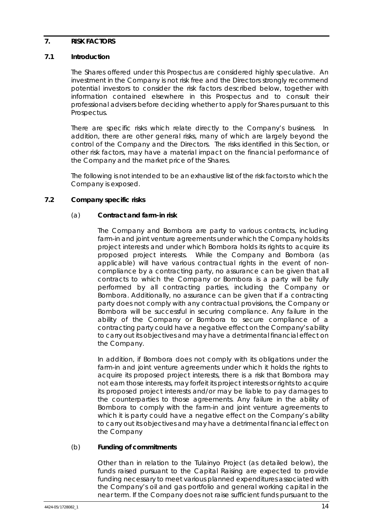#### **7. RISK FACTORS**

#### **7.1 Introduction**

The Shares offered under this Prospectus are considered highly speculative. An investment in the Company is not risk free and the Directors strongly recommend potential investors to consider the risk factors described below, together with information contained elsewhere in this Prospectus and to consult their professional advisers before deciding whether to apply for Shares pursuant to this Prospectus.

There are specific risks which relate directly to the Company's business. In addition, there are other general risks, many of which are largely beyond the control of the Company and the Directors. The risks identified in this Section, or other risk factors, may have a material impact on the financial performance of the Company and the market price of the Shares.

The following is not intended to be an exhaustive list of the risk factors to which the Company is exposed.

#### **7.2 Company specific risks**

#### (a) **Contract and farm-in risk**

The Company and Bombora are party to various contracts, including farm-in and joint venture agreements under which the Company holds its project interests and under which Bombora holds its rights to acquire its proposed project interests. While the Company and Bombora (as applicable) will have various contractual rights in the event of noncompliance by a contracting party, no assurance can be given that all contracts to which the Company or Bombora is a party will be fully performed by all contracting parties, including the Company or Bombora. Additionally, no assurance can be given that if a contracting party does not comply with any contractual provisions, the Company or Bombora will be successful in securing compliance. Any failure in the ability of the Company or Bombora to secure compliance of a contracting party could have a negative effect on the Company's ability to carry out its objectives and may have a detrimental financial effect on the Company.

In addition, if Bombora does not comply with its obligations under the farm-in and joint venture agreements under which it holds the rights to acquire its proposed project interests, there is a risk that Bombora may not earn those interests, may forfeit its project interests or rights to acquire its proposed project interests and/or may be liable to pay damages to the counterparties to those agreements. Any failure in the ability of Bombora to comply with the farm-in and joint venture agreements to which it is party could have a negative effect on the Company's ability to carry out its objectives and may have a detrimental financial effect on the Company

#### (b) **Funding of commitments**

Other than in relation to the Tulainyo Project (as detailed below), the funds raised pursuant to the Capital Raising are expected to provide funding necessary to meet various planned expenditures associated with the Company's oil and gas portfolio and general working capital in the near term. If the Company does not raise sufficient funds pursuant to the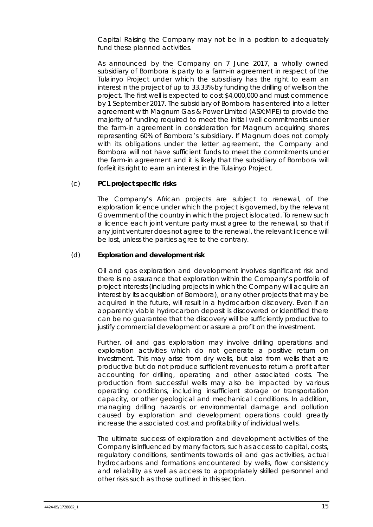Capital Raising the Company may not be in a position to adequately fund these planned activities.

As announced by the Company on 7 June 2017, a wholly owned subsidiary of Bombora is party to a farm-in agreement in respect of the Tulainyo Project under which the subsidiary has the right to earn an interest in the project of up to 33.33% by funding the drilling of wells on the project. The first well is expected to cost \$4,000,000 and must commence by 1 September 2017. The subsidiary of Bombora has entered into a letter agreement with Magnum Gas & Power Limited (ASX:MPE) to provide the majority of funding required to meet the initial well commitments under the farm-in agreement in consideration for Magnum acquiring shares representing 60% of Bombora's subsidiary. If Magnum does not comply with its obligations under the letter agreement, the Company and Bombora will not have sufficient funds to meet the commitments under the farm-in agreement and it is likely that the subsidiary of Bombora will forfeit its right to earn an interest in the Tulainyo Project.

#### (c) **PCL project specific risks**

The Company's African projects are subject to renewal, of the exploration licence under which the project is governed, by the relevant Government of the country in which the project is located. To renew such a licence each joint venture party must agree to the renewal, so that if any joint venturer does not agree to the renewal, the relevant licence will be lost, unless the parties agree to the contrary.

#### (d) **Exploration and development risk**

Oil and gas exploration and development involves significant risk and there is no assurance that exploration within the Company's portfolio of project interests (including projects in which the Company will acquire an interest by its acquisition of Bombora), or any other projects that may be acquired in the future, will result in a hydrocarbon discovery. Even if an apparently viable hydrocarbon deposit is discovered or identified there can be no guarantee that the discovery will be sufficiently productive to justify commercial development or assure a profit on the investment.

Further, oil and gas exploration may involve drilling operations and exploration activities which do not generate a positive return on investment. This may arise from dry wells, but also from wells that are productive but do not produce sufficient revenues to return a profit after accounting for drilling, operating and other associated costs. The production from successful wells may also be impacted by various operating conditions, including insufficient storage or transportation capacity, or other geological and mechanical conditions. In addition, managing drilling hazards or environmental damage and pollution caused by exploration and development operations could greatly increase the associated cost and profitability of individual wells.

The ultimate success of exploration and development activities of the Company is influenced by many factors, such as access to capital, costs, regulatory conditions, sentiments towards oil and gas activities, actual hydrocarbons and formations encountered by wells, flow consistency and reliability as well as access to appropriately skilled personnel and other risks such as those outlined in this section.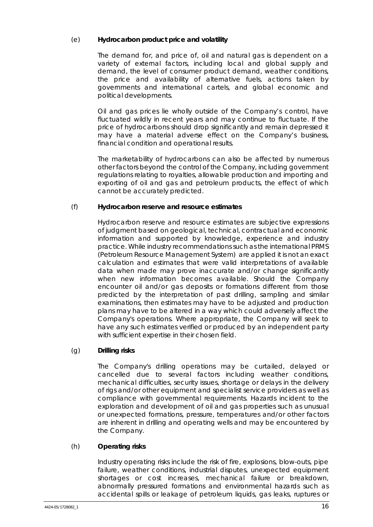# (e) **Hydrocarbon product price and volatility**

The demand for, and price of, oil and natural gas is dependent on a variety of external factors, including local and global supply and demand, the level of consumer product demand, weather conditions, the price and availability of alternative fuels, actions taken by governments and international cartels, and global economic and political developments.

Oil and gas prices lie wholly outside of the Company's control, have fluctuated wildly in recent years and may continue to fluctuate. If the price of hydrocarbons should drop significantly and remain depressed it may have a material adverse effect on the Company's business, financial condition and operational results.

The marketability of hydrocarbons can also be affected by numerous other factors beyond the control of the Company, including government regulations relating to royalties, allowable production and importing and exporting of oil and gas and petroleum products, the effect of which cannot be accurately predicted.

# (f) **Hydrocarbon reserve and resource estimates**

Hydrocarbon reserve and resource estimates are subjective expressions of judgment based on geological, technical, contractual and economic information and supported by knowledge, experience and industry practice. While industry recommendations such as the international PRMS (Petroleum Resource Management System) are applied it is not an exact calculation and estimates that were valid interpretations of available data when made may prove inaccurate and/or change significantly when new information becomes available. Should the Company encounter oil and/or gas deposits or formations different from those predicted by the interpretation of past drilling, sampling and similar examinations, then estimates may have to be adjusted and production plans may have to be altered in a way which could adversely affect the Company's operations. Where appropriate, the Company will seek to have any such estimates verified or produced by an independent party with sufficient expertise in their chosen field.

# (g) **Drilling risks**

The Company's drilling operations may be curtailed, delayed or cancelled due to several factors including weather conditions, mechanical difficulties, security issues, shortage or delays in the delivery of rigs and/or other equipment and specialist service providers as well as compliance with governmental requirements. Hazards incident to the exploration and development of oil and gas properties such as unusual or unexpected formations, pressure, temperatures and/or other factors are inherent in drilling and operating wells and may be encountered by the Company.

# (h) **Operating risks**

Industry operating risks include the risk of fire, explosions, blow-outs, pipe failure, weather conditions, industrial disputes, unexpected equipment shortages or cost increases, mechanical failure or breakdown, abnormally pressured formations and environmental hazards such as accidental spills or leakage of petroleum liquids, gas leaks, ruptures or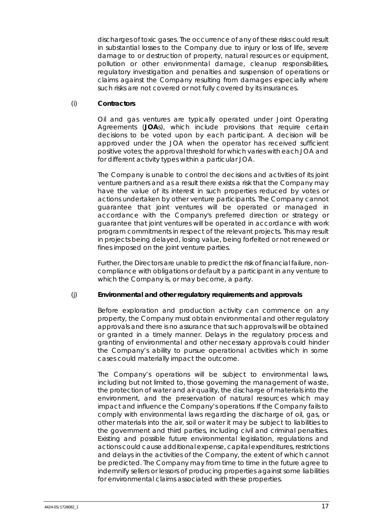discharges of toxic gases. The occurrence of any of these risks could result in substantial losses to the Company due to injury or loss of life, severe damage to or destruction of property, natural resources or equipment, pollution or other environmental damage, cleanup responsibilities, regulatory investigation and penalties and suspension of operations or claims against the Company resulting from damages especially where such risks are not covered or not fully covered by its insurances.

# (i) **Contractors**

Oil and gas ventures are typically operated under Joint Operating Agreements (**JOA**s), which include provisions that require certain decisions to be voted upon by each participant. A decision will be approved under the JOA when the operator has received sufficient positive votes; the approval threshold for which varies with each JOA and for different activity types within a particular JOA.

The Company is unable to control the decisions and activities of its joint venture partners and as a result there exists a risk that the Company may have the value of its interest in such properties reduced by votes or actions undertaken by other venture participants. The Company cannot guarantee that joint ventures will be operated or managed in accordance with the Company's preferred direction or strategy or guarantee that joint ventures will be operated in accordance with work program commitments in respect of the relevant projects. This may result in projects being delayed, losing value, being forfeited or not renewed or fines imposed on the joint venture parties.

Further, the Directors are unable to predict the risk of financial failure, noncompliance with obligations or default by a participant in any venture to which the Company is, or may become, a party.

#### (j) **Environmental and other regulatory requirements and approvals**

Before exploration and production activity can commence on any property, the Company must obtain environmental and other regulatory approvals and there is no assurance that such approvals will be obtained or granted in a timely manner. Delays in the regulatory process and granting of environmental and other necessary approvals could hinder the Company's ability to pursue operational activities which in some cases could materially impact the outcome.

The Company's operations will be subject to environmental laws, including but not limited to, those governing the management of waste, the protection of water and air quality, the discharge of materials into the environment, and the preservation of natural resources which may impact and influence the Company's operations. If the Company fails to comply with environmental laws regarding the discharge of oil, gas, or other materials into the air, soil or water it may be subject to liabilities to the government and third parties, including civil and criminal penalties. Existing and possible future environmental legislation, regulations and actions could cause additional expense, capital expenditures, restrictions and delays in the activities of the Company, the extent of which cannot be predicted. The Company may from time to time in the future agree to indemnify sellers or lessors of producing properties against some liabilities for environmental claims associated with these properties.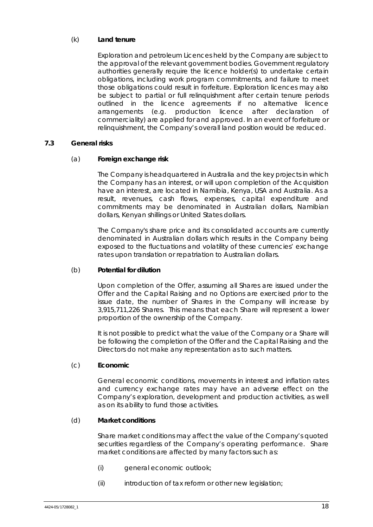# (k) **Land tenure**

Exploration and petroleum Licences held by the Company are subject to the approval of the relevant government bodies. Government regulatory authorities generally require the licence holder(s) to undertake certain obligations, including work program commitments, and failure to meet those obligations could result in forfeiture. Exploration licences may also be subject to partial or full relinquishment after certain tenure periods outlined in the licence agreements if no alternative licence arrangements (e.g. production licence after declaration of commerciality) are applied for and approved. In an event of forfeiture or relinquishment, the Company's overall land position would be reduced.

# **7.3 General risks**

#### (a) **Foreign exchange risk**

The Company is headquartered in Australia and the key projects in which the Company has an interest, or will upon completion of the Acquisition have an interest, are located in Namibia, Kenya, USA and Australia. As a result, revenues, cash flows, expenses, capital expenditure and commitments may be denominated in Australian dollars, Namibian dollars, Kenyan shillings or United States dollars.

The Company's share price and its consolidated accounts are currently denominated in Australian dollars which results in the Company being exposed to the fluctuations and volatility of these currencies' exchange rates upon translation or repatriation to Australian dollars.

#### (b) **Potential for dilution**

Upon completion of the Offer, assuming all Shares are issued under the Offer and the Capital Raising and no Options are exercised prior to the issue date, the number of Shares in the Company will increase by 3,915,711,226 Shares. This means that each Share will represent a lower proportion of the ownership of the Company.

It is not possible to predict what the value of the Company or a Share will be following the completion of the Offer and the Capital Raising and the Directors do not make any representation as to such matters.

#### (c) **Economic**

General economic conditions, movements in interest and inflation rates and currency exchange rates may have an adverse effect on the Company's exploration, development and production activities, as well as on its ability to fund those activities.

#### (d) **Market conditions**

Share market conditions may affect the value of the Company's quoted securities regardless of the Company's operating performance. Share market conditions are affected by many factors such as:

- (i) general economic outlook;
- (ii) introduction of tax reform or other new legislation;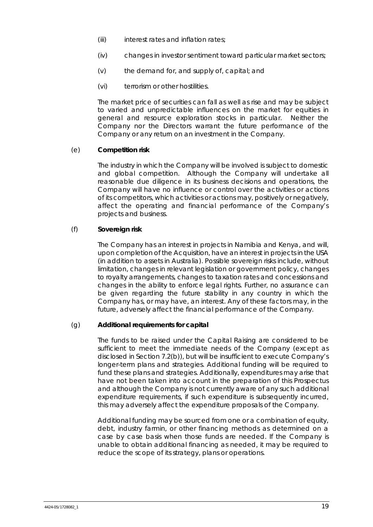- (iii) interest rates and inflation rates;
- (iv) changes in investor sentiment toward particular market sectors;
- (v) the demand for, and supply of, capital; and
- (vi) terrorism or other hostilities.

The market price of securities can fall as well as rise and may be subject to varied and unpredictable influences on the market for equities in general and resource exploration stocks in particular. Neither the Company nor the Directors warrant the future performance of the Company or any return on an investment in the Company.

#### (e) **Competition risk**

The industry in which the Company will be involved is subject to domestic and global competition. Although the Company will undertake all reasonable due diligence in its business decisions and operations, the Company will have no influence or control over the activities or actions of its competitors, which activities or actions may, positively or negatively, affect the operating and financial performance of the Company's projects and business.

## (f) **Sovereign risk**

The Company has an interest in projects in Namibia and Kenya, and will, upon completion of the Acquisition, have an interest in projects in the USA (in addition to assets in Australia). Possible sovereign risks include, without limitation, changes in relevant legislation or government policy, changes to royalty arrangements, changes to taxation rates and concessions and changes in the ability to enforce legal rights. Further, no assurance can be given regarding the future stability in any country in which the Company has, or may have, an interest. Any of these factors may, in the future, adversely affect the financial performance of the Company.

#### (g) **Additional requirements for capital**

The funds to be raised under the Capital Raising are considered to be sufficient to meet the immediate needs of the Company (except as disclosed in Section 7.2(b)), but will be insufficient to execute Company's longer-term plans and strategies. Additional funding will be required to fund these plans and strategies. Additionally, expenditures may arise that have not been taken into account in the preparation of this Prospectus and although the Company is not currently aware of any such additional expenditure requirements, if such expenditure is subsequently incurred, this may adversely affect the expenditure proposals of the Company.

Additional funding may be sourced from one or a combination of equity, debt, industry farmin, or other financing methods as determined on a case by case basis when those funds are needed. If the Company is unable to obtain additional financing as needed, it may be required to reduce the scope of its strategy, plans or operations.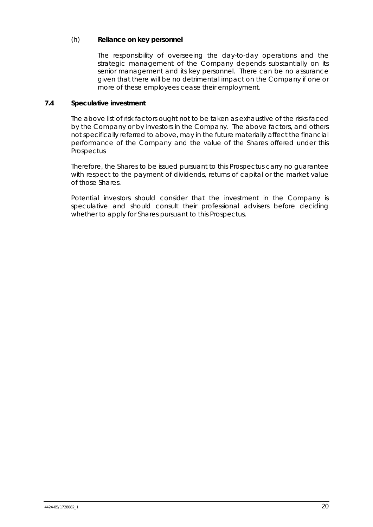## (h) **Reliance on key personnel**

The responsibility of overseeing the day-to-day operations and the strategic management of the Company depends substantially on its senior management and its key personnel. There can be no assurance given that there will be no detrimental impact on the Company if one or more of these employees cease their employment.

# **7.4 Speculative investment**

The above list of risk factors ought not to be taken as exhaustive of the risks faced by the Company or by investors in the Company. The above factors, and others not specifically referred to above, may in the future materially affect the financial performance of the Company and the value of the Shares offered under this **Prospectus** 

Therefore, the Shares to be issued pursuant to this Prospectus carry no guarantee with respect to the payment of dividends, returns of capital or the market value of those Shares.

Potential investors should consider that the investment in the Company is speculative and should consult their professional advisers before deciding whether to apply for Shares pursuant to this Prospectus.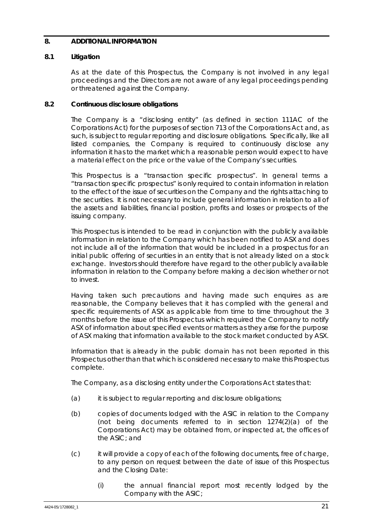## **8. ADDITIONAL INFORMATION**

## **8.1 Litigation**

As at the date of this Prospectus, the Company is not involved in any legal proceedings and the Directors are not aware of any legal proceedings pending or threatened against the Company.

## **8.2 Continuous disclosure obligations**

The Company is a "disclosing entity" (as defined in section 111AC of the Corporations Act) for the purposes of section 713 of the Corporations Act and, as such, is subject to regular reporting and disclosure obligations. Specifically, like all listed companies, the Company is required to continuously disclose any information it has to the market which a reasonable person would expect to have a material effect on the price or the value of the Company's securities.

This Prospectus is a "transaction specific prospectus". In general terms a "transaction specific prospectus" is only required to contain information in relation to the effect of the issue of securities on the Company and the rights attaching to the securities. It is not necessary to include general information in relation to all of the assets and liabilities, financial position, profits and losses or prospects of the issuing company.

This Prospectus is intended to be read in conjunction with the publicly available information in relation to the Company which has been notified to ASX and does not include all of the information that would be included in a prospectus for an initial public offering of securities in an entity that is not already listed on a stock exchange. Investors should therefore have regard to the other publicly available information in relation to the Company before making a decision whether or not to invest.

Having taken such precautions and having made such enquires as are reasonable, the Company believes that it has complied with the general and specific requirements of ASX as applicable from time to time throughout the 3 months before the issue of this Prospectus which required the Company to notify ASX of information about specified events or matters as they arise for the purpose of ASX making that information available to the stock market conducted by ASX.

Information that is already in the public domain has not been reported in this Prospectus other than that which is considered necessary to make this Prospectus complete.

The Company, as a disclosing entity under the Corporations Act states that:

- (a) it is subject to regular reporting and disclosure obligations;
- (b) copies of documents lodged with the ASIC in relation to the Company (not being documents referred to in section 1274(2)(a) of the Corporations Act) may be obtained from, or inspected at, the offices of the ASIC; and
- (c) it will provide a copy of each of the following documents, free of charge, to any person on request between the date of issue of this Prospectus and the Closing Date:
	- (i) the annual financial report most recently lodged by the Company with the ASIC;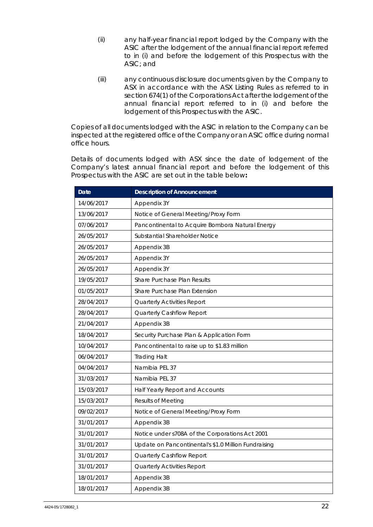- (ii) any half-year financial report lodged by the Company with the ASIC after the lodgement of the annual financial report referred to in (i) and before the lodgement of this Prospectus with the ASIC; and
- (iii) any continuous disclosure documents given by the Company to ASX in accordance with the ASX Listing Rules as referred to in section 674(1) of the Corporations Act after the lodgement of the annual financial report referred to in (i) and before the lodgement of this Prospectus with the ASIC.

Copies of all documents lodged with the ASIC in relation to the Company can be inspected at the registered office of the Company or an ASIC office during normal office hours.

Details of documents lodged with ASX since the date of lodgement of the Company's latest annual financial report and before the lodgement of this Prospectus with the ASIC are set out in the table below**:** 

| <b>Date</b> | <b>Description of Announcement</b>                   |
|-------------|------------------------------------------------------|
| 14/06/2017  | Appendix 3Y                                          |
| 13/06/2017  | Notice of General Meeting/Proxy Form                 |
| 07/06/2017  | Pancontinental to Acquire Bombora Natural Energy     |
| 26/05/2017  | Substantial Shareholder Notice                       |
| 26/05/2017  | Appendix 3B                                          |
| 26/05/2017  | Appendix 3Y                                          |
| 26/05/2017  | Appendix 3Y                                          |
| 19/05/2017  | Share Purchase Plan Results                          |
| 01/05/2017  | Share Purchase Plan Extension                        |
| 28/04/2017  | Quarterly Activities Report                          |
| 28/04/2017  | Quarterly Cashflow Report                            |
| 21/04/2017  | Appendix 3B                                          |
| 18/04/2017  | Security Purchase Plan & Application Form            |
| 10/04/2017  | Pancontinental to raise up to \$1.83 million         |
| 06/04/2017  | <b>Trading Halt</b>                                  |
| 04/04/2017  | Namibia PEL 37                                       |
| 31/03/2017  | Namibia PEL 37                                       |
| 15/03/2017  | Half Yearly Report and Accounts                      |
| 15/03/2017  | <b>Results of Meeting</b>                            |
| 09/02/2017  | Notice of General Meeting/Proxy Form                 |
| 31/01/2017  | Appendix 3B                                          |
| 31/01/2017  | Notice under s708A of the Corporations Act 2001      |
| 31/01/2017  | Update on Pancontinental's \$1.0 Million Fundraising |
| 31/01/2017  | Quarterly Cashflow Report                            |
| 31/01/2017  | Quarterly Activities Report                          |
| 18/01/2017  | Appendix 3B                                          |
| 18/01/2017  | Appendix 3B                                          |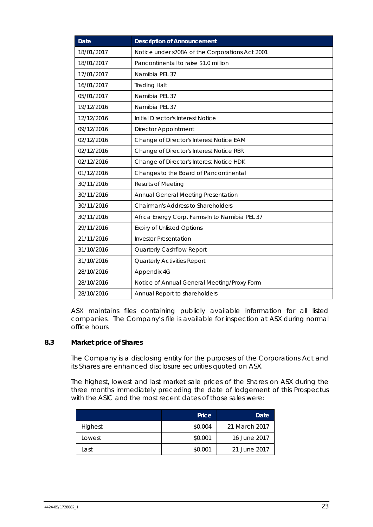| <b>Date</b> | <b>Description of Announcement</b>              |
|-------------|-------------------------------------------------|
| 18/01/2017  | Notice under s708A of the Corporations Act 2001 |
| 18/01/2017  | Pancontinental to raise \$1.0 million           |
| 17/01/2017  | Namibia PEL 37                                  |
| 16/01/2017  | <b>Trading Halt</b>                             |
| 05/01/2017  | Namibia PEL 37                                  |
| 19/12/2016  | Namibia PEL 37                                  |
| 12/12/2016  | Initial Director's Interest Notice              |
| 09/12/2016  | Director Appointment                            |
| 02/12/2016  | Change of Director's Interest Notice EAM        |
| 02/12/2016  | Change of Director's Interest Notice RBR        |
| 02/12/2016  | Change of Director's Interest Notice HDK        |
| 01/12/2016  | Changes to the Board of Pancontinental          |
| 30/11/2016  | <b>Results of Meeting</b>                       |
| 30/11/2016  | Annual General Meeting Presentation             |
| 30/11/2016  | Chairman's Address to Shareholders              |
| 30/11/2016  | Africa Energy Corp. Farms-In to Namibia PEL 37  |
| 29/11/2016  | <b>Expiry of Unlisted Options</b>               |
| 21/11/2016  | <b>Investor Presentation</b>                    |
| 31/10/2016  | Quarterly Cashflow Report                       |
| 31/10/2016  | Quarterly Activities Report                     |
| 28/10/2016  | Appendix 4G                                     |
| 28/10/2016  | Notice of Annual General Meeting/Proxy Form     |
| 28/10/2016  | Annual Report to shareholders                   |

ASX maintains files containing publicly available information for all listed companies. The Company's file is available for inspection at ASX during normal office hours.

# **8.3 Market price of Shares**

The Company is a disclosing entity for the purposes of the Corporations Act and its Shares are enhanced disclosure securities quoted on ASX.

The highest, lowest and last market sale prices of the Shares on ASX during the three months immediately preceding the date of lodgement of this Prospectus with the ASIC and the most recent dates of those sales were:

|         | Price   | Date          |
|---------|---------|---------------|
| Highest | \$0.004 | 21 March 2017 |
| Lowest  | \$0.001 | 16 June 2017  |
| Last    | \$0.001 | 21 June 2017  |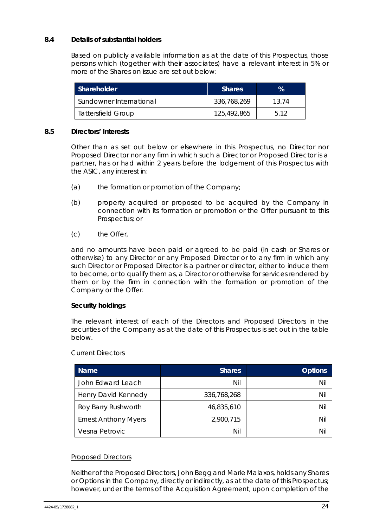# **8.4 Details of substantial holders**

Based on publicly available information as at the date of this Prospectus, those persons which (together with their associates) have a relevant interest in 5% or more of the Shares on issue are set out below:

| Shareholder               | <b>Shares</b> | $\mathcal{A}$ |
|---------------------------|---------------|---------------|
| Sundowner International   | 336,768,269   | 13 74         |
| <b>Tattersfield Group</b> | 125,492,865   | 5.12          |

#### **8.5 Directors' Interests**

Other than as set out below or elsewhere in this Prospectus, no Director nor Proposed Director nor any firm in which such a Director or Proposed Director is a partner, has or had within 2 years before the lodgement of this Prospectus with the ASIC, any interest in:

- (a) the formation or promotion of the Company;
- (b) property acquired or proposed to be acquired by the Company in connection with its formation or promotion or the Offer pursuant to this Prospectus; or
- (c) the Offer,

and no amounts have been paid or agreed to be paid (in cash or Shares or otherwise) to any Director or any Proposed Director or to any firm in which any such Director or Proposed Director is a partner or director, either to induce them to become, or to qualify them as, a Director or otherwise for services rendered by them or by the firm in connection with the formation or promotion of the Company or the Offer.

#### *Security holdings*

The relevant interest of each of the Directors and Proposed Directors in the securities of the Company as at the date of this Prospectus is set out in the table below.

#### Current Directors

| <b>Name</b>                 | <b>Shares</b> | <b>Options</b> |
|-----------------------------|---------------|----------------|
| John Edward Leach           | Nil           | Nil            |
| Henry David Kennedy         | 336,768,268   | Nil            |
| Roy Barry Rushworth         | 46,835,610    | Nil            |
| <b>Ernest Anthony Myers</b> | 2,900,715     | Nil            |
| Vesna Petrovic              | Nil           | Nil            |

#### Proposed Directors

Neither of the Proposed Directors, John Begg and Marie Malaxos, holds any Shares or Options in the Company, directly or indirectly, as at the date of this Prospectus; however, under the terms of the Acquisition Agreement, upon completion of the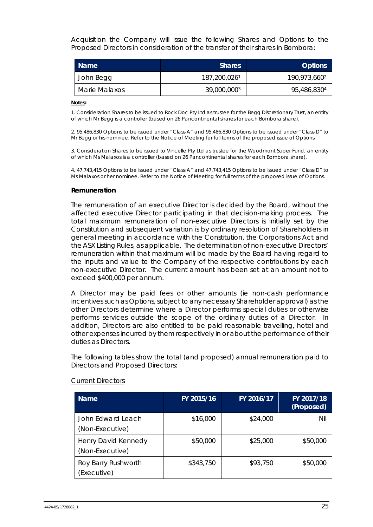Acquisition the Company will issue the following Shares and Options to the Proposed Directors in consideration of the transfer of their shares in Bombora:

| <b>Name</b>   | <b>Shares</b> | <b>Options</b>           |
|---------------|---------------|--------------------------|
| John Begg     | 187,200,0261  | 190,973,660 <sup>2</sup> |
| Marie Malaxos | 39,000,0003   | 95,486,8304              |

#### **Notes:**

1. Consideration Shares to be issued to Rock Doc Pty Ltd as trustee for the Begg Discretionary Trust, an entity of which Mr Begg is a controller (based on 26 Pancontinental shares for each Bombora share).

2. 95,486,830 Options to be issued under "Class A" and 95,486,830 Options to be issued under "Class D" to Mr Begg or his nominee. Refer to the Notice of Meeting for full terms of the proposed issue of Options.

3. Consideration Shares to be issued to Vincelle Pty Ltd as trustee for the Woodmont Super Fund, an entity of which Ms Malaxos is a controller (based on 26 Pancontinental shares for each Bombora share).

4. 47,743,415 Options to be issued under "Class A" and 47,743,415 Options to be issued under "Class D" to Ms Malaxos or her nominee. Refer to the Notice of Meeting for full terms of the proposed issue of Options.

#### *Remuneration*

The remuneration of an executive Director is decided by the Board, without the affected executive Director participating in that decision-making process. The total maximum remuneration of non-executive Directors is initially set by the Constitution and subsequent variation is by ordinary resolution of Shareholders in general meeting in accordance with the Constitution, the Corporations Act and the ASX Listing Rules, as applicable. The determination of non-executive Directors' remuneration within that maximum will be made by the Board having regard to the inputs and value to the Company of the respective contributions by each non-executive Director. The current amount has been set at an amount not to exceed \$400,000 per annum.

A Director may be paid fees or other amounts (ie non-cash performance incentives such as Options, subject to any necessary Shareholder approval) as the other Directors determine where a Director performs special duties or otherwise performs services outside the scope of the ordinary duties of a Director. In addition, Directors are also entitled to be paid reasonable travelling, hotel and other expenses incurred by them respectively in or about the performance of their duties as Directors.

The following tables show the total (and proposed) annual remuneration paid to Directors and Proposed Directors:

| <b>Name</b>                            | FY 2015/16 | FY 2016/17 | FY 2017/18<br>(Proposed) |
|----------------------------------------|------------|------------|--------------------------|
| John Edward Leach<br>(Non-Executive)   | \$16,000   | \$24,000   | Nil                      |
| Henry David Kennedy<br>(Non-Executive) | \$50,000   | \$25,000   | \$50,000                 |
| Roy Barry Rushworth<br>(Executive)     | \$343,750  | \$93,750   | \$50,000                 |

#### Current Directors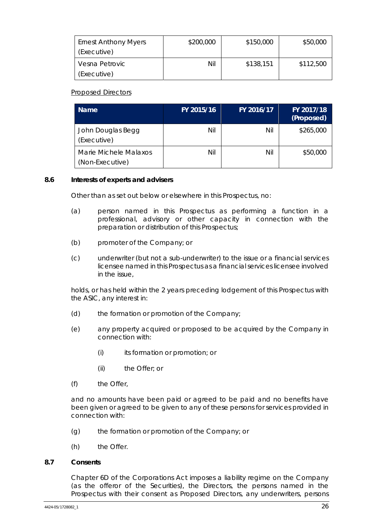| <b>Ernest Anthony Myers</b><br>(Executive) | \$200,000 | \$150,000 | \$50,000  |
|--------------------------------------------|-----------|-----------|-----------|
| Vesna Petrovic<br>(Executive)              | Nil       | \$138,151 | \$112,500 |

Proposed Directors

| <b>Name</b>                              | FY 2015/16 | FY 2016/17 | FY 2017/18<br>(Proposed) |
|------------------------------------------|------------|------------|--------------------------|
| John Douglas Begg<br>(Executive)         | Nil        | Nil        | \$265,000                |
| Marie Michele Malaxos<br>(Non-Executive) | Nil        | Nil        | \$50,000                 |

#### **8.6 Interests of experts and advisers**

Other than as set out below or elsewhere in this Prospectus, no:

- (a) person named in this Prospectus as performing a function in a professional, advisory or other capacity in connection with the preparation or distribution of this Prospectus;
- (b) promoter of the Company; or
- (c) underwriter (but not a sub-underwriter) to the issue or a financial services licensee named in this Prospectus as a financial services licensee involved in the issue,

holds, or has held within the 2 years preceding lodgement of this Prospectus with the ASIC, any interest in:

- (d) the formation or promotion of the Company;
- (e) any property acquired or proposed to be acquired by the Company in connection with:
	- (i) its formation or promotion; or
	- (ii) the Offer; or
- (f) the Offer,

and no amounts have been paid or agreed to be paid and no benefits have been given or agreed to be given to any of these persons for services provided in connection with:

- (g) the formation or promotion of the Company; or
- (h) the Offer.

#### **8.7 Consents**

Chapter 6D of the Corporations Act imposes a liability regime on the Company (as the offeror of the Securities), the Directors, the persons named in the Prospectus with their consent as Proposed Directors, any underwriters, persons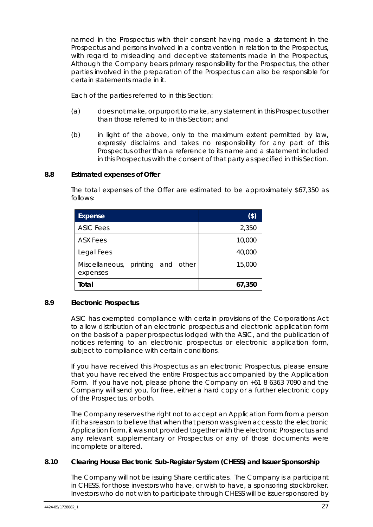named in the Prospectus with their consent having made a statement in the Prospectus and persons involved in a contravention in relation to the Prospectus, with regard to misleading and deceptive statements made in the Prospectus, Although the Company bears primary responsibility for the Prospectus, the other parties involved in the preparation of the Prospectus can also be responsible for certain statements made in it.

Each of the parties referred to in this Section:

- (a) does not make, or purport to make, any statement in this Prospectus other than those referred to in this Section; and
- (b) in light of the above, only to the maximum extent permitted by law, expressly disclaims and takes no responsibility for any part of this Prospectus other than a reference to its name and a statement included in this Prospectus with the consent of that party as specified in this Section.

# **8.8 Estimated expenses of Offer**

The total expenses of the Offer are estimated to be approximately \$67,350 as follows:

| Expense                                       | $(\$)$ |
|-----------------------------------------------|--------|
| <b>ASIC Fees</b>                              | 2,350  |
| ASX Fees                                      | 10,000 |
| Legal Fees                                    | 40,000 |
| Miscellaneous, printing and other<br>expenses | 15,000 |
| Total                                         | 67,350 |

#### **8.9 Electronic Prospectus**

ASIC has exempted compliance with certain provisions of the Corporations Act to allow distribution of an electronic prospectus and electronic application form on the basis of a paper prospectus lodged with the ASIC, and the publication of notices referring to an electronic prospectus or electronic application form, subject to compliance with certain conditions.

If you have received this Prospectus as an electronic Prospectus, please ensure that you have received the entire Prospectus accompanied by the Application Form. If you have not, please phone the Company on +61 8 6363 7090 and the Company will send you, for free, either a hard copy or a further electronic copy of the Prospectus, or both.

The Company reserves the right not to accept an Application Form from a person if it has reason to believe that when that person was given access to the electronic Application Form, it was not provided together with the electronic Prospectus and any relevant supplementary or Prospectus or any of those documents were incomplete or altered.

#### **8.10 Clearing House Electronic Sub-Register System (CHESS) and Issuer Sponsorship**

The Company will not be issuing Share certificates. The Company is a participant in CHESS, for those investors who have, or wish to have, a sponsoring stockbroker. Investors who do not wish to participate through CHESS will be issuer sponsored by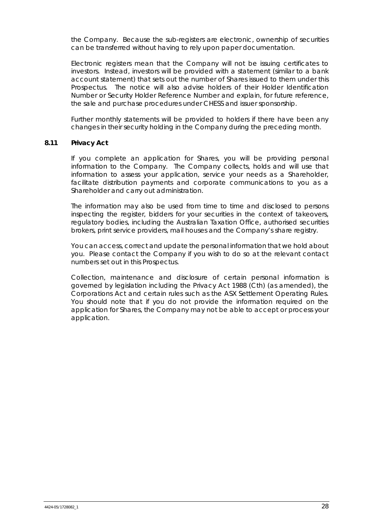the Company. Because the sub-registers are electronic, ownership of securities can be transferred without having to rely upon paper documentation.

Electronic registers mean that the Company will not be issuing certificates to investors. Instead, investors will be provided with a statement (similar to a bank account statement) that sets out the number of Shares issued to them under this Prospectus. The notice will also advise holders of their Holder Identification Number or Security Holder Reference Number and explain, for future reference, the sale and purchase procedures under CHESS and issuer sponsorship.

Further monthly statements will be provided to holders if there have been any changes in their security holding in the Company during the preceding month.

#### **8.11 Privacy Act**

If you complete an application for Shares, you will be providing personal information to the Company. The Company collects, holds and will use that information to assess your application, service your needs as a Shareholder, facilitate distribution payments and corporate communications to you as a Shareholder and carry out administration.

The information may also be used from time to time and disclosed to persons inspecting the register, bidders for your securities in the context of takeovers, regulatory bodies, including the Australian Taxation Office, authorised securities brokers, print service providers, mail houses and the Company's share registry.

You can access, correct and update the personal information that we hold about you. Please contact the Company if you wish to do so at the relevant contact numbers set out in this Prospectus.

Collection, maintenance and disclosure of certain personal information is governed by legislation including the *Privacy Act* 1988 (Cth) (as amended), the Corporations Act and certain rules such as the ASX Settlement Operating Rules. You should note that if you do not provide the information required on the application for Shares, the Company may not be able to accept or process your application.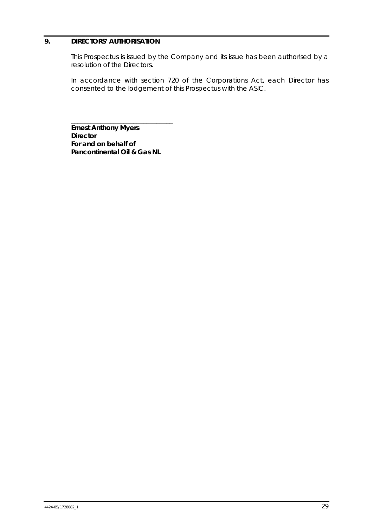# **9. DIRECTORS' AUTHORISATION**

This Prospectus is issued by the Company and its issue has been authorised by a resolution of the Directors.

In accordance with section 720 of the Corporations Act, each Director has consented to the lodgement of this Prospectus with the ASIC.

**Ernest Anthony Myers Director For and on behalf of Pancontinental Oil & Gas NL** 

\_\_\_\_\_\_\_\_\_\_\_\_\_\_\_\_\_\_\_\_\_\_\_\_\_\_\_\_\_\_\_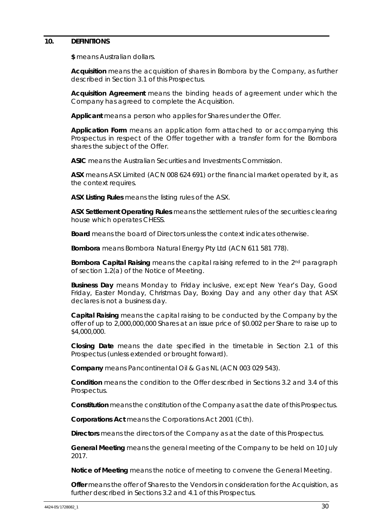#### **10. DEFINITIONS**

**\$** means Australian dollars.

**Acquisition** means the acquisition of shares in Bombora by the Company, as further described in Section 3.1 of this Prospectus.

**Acquisition Agreement** means the binding heads of agreement under which the Company has agreed to complete the Acquisition.

**Applicant** means a person who applies for Shares under the Offer.

**Application Form** means an application form attached to or accompanying this Prospectus in respect of the Offer together with a transfer form for the Bombora shares the subject of the Offer.

**ASIC** means the Australian Securities and Investments Commission.

**ASX** means ASX Limited (ACN 008 624 691) or the financial market operated by it, as the context requires.

**ASX Listing Rules** means the listing rules of the ASX.

**ASX Settlement Operating Rules** means the settlement rules of the securities clearing house which operates CHESS.

**Board** means the board of Directors unless the context indicates otherwise.

**Bombora** means Bombora Natural Energy Pty Ltd (ACN 611 581 778).

**Bombora Capital Raising** means the capital raising referred to in the 2nd paragraph of section 1.2(a) of the Notice of Meeting.

**Business Day** means Monday to Friday inclusive, except New Year's Day, Good Friday, Easter Monday, Christmas Day, Boxing Day and any other day that ASX declares is not a business day.

**Capital Raising** means the capital raising to be conducted by the Company by the offer of up to 2,000,000,000 Shares at an issue price of \$0.002 per Share to raise up to \$4,000,000.

**Closing Date** means the date specified in the timetable in Section 2.1 of this Prospectus (unless extended or brought forward).

**Company** means Pancontinental Oil & Gas NL (ACN 003 029 543).

**Condition** means the condition to the Offer described in Sections 3.2 and 3.4 of this Prospectus.

**Constitution** means the constitution of the Company as at the date of this Prospectus.

**Corporations Act** means the *Corporations Act 2001* (Cth).

**Directors** means the directors of the Company as at the date of this Prospectus.

**General Meeting** means the general meeting of the Company to be held on 10 July 2017.

**Notice of Meeting** means the notice of meeting to convene the General Meeting.

**Offer** means the offer of Shares to the Vendors in consideration for the Acquisition, as further described in Sections 3.2 and 4.1 of this Prospectus.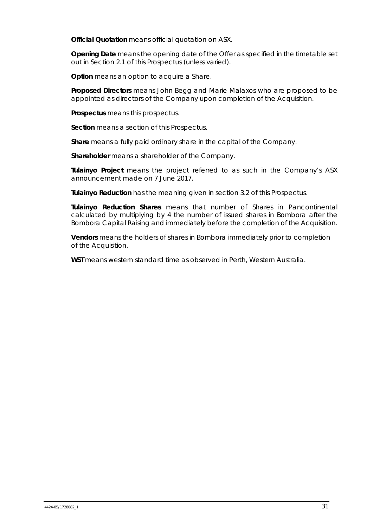**Official Quotation** means official quotation on ASX.

**Opening Date** means the opening date of the Offer as specified in the timetable set out in Section 2.1 of this Prospectus (unless varied).

**Option** means an option to acquire a Share.

**Proposed Directors** means John Begg and Marie Malaxos who are proposed to be appointed as directors of the Company upon completion of the Acquisition.

**Prospectus** means this prospectus.

**Section** means a section of this Prospectus.

**Share** means a fully paid ordinary share in the capital of the Company.

**Shareholder** means a shareholder of the Company.

**Tulainyo Project** means the project referred to as such in the Company's ASX announcement made on 7 June 2017.

**Tulainyo Reduction** has the meaning given in section 3.2 of this Prospectus.

**Tulainyo Reduction Shares** means that number of Shares in Pancontinental calculated by multiplying by 4 the number of issued shares in Bombora after the Bombora Capital Raising and immediately before the completion of the Acquisition.

**Vendors** means the holders of shares in Bombora immediately prior to completion of the Acquisition.

**WST** means western standard time as observed in Perth, Western Australia.